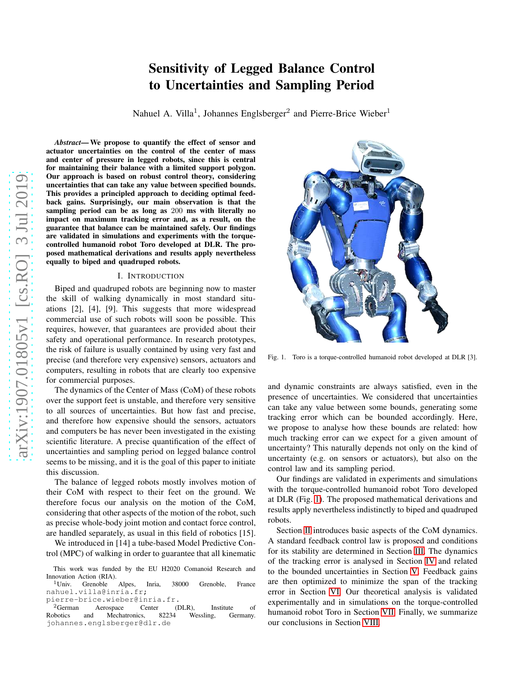# arXiv:1907.01805v1 [cs.RO] 3 Jul 2019 [arXiv:1907.01805v1 \[cs.RO\] 3 Jul 2019](http://arxiv.org/abs/1907.01805v1)

# Sensitivity of Legged Balance Control to Uncertainties and Sampling Period

Nahuel A. Villa<sup>1</sup>, Johannes Englsberger<sup>2</sup> and Pierre-Brice Wieber<sup>1</sup>

*Abstract*— We propose to quantify the effect of sensor and actuator uncertainties on the control of the center of mass and center of pressure in legged robots, since this is central for maintaining their balance with a limited support polygon. Our approach is based on robust control theory, considering uncertainties that can take any value between specified bounds. This provides a principled approach to deciding optimal feedback gains. Surprisingly, our main observation is that the sampling period can be as long as 200 ms with literally no impact on maximum tracking error and, as a result, on the guarantee that balance can be maintained safely. Our findings are validated in simulations and experiments with the torquecontrolled humanoid robot Toro developed at DLR. The proposed mathematical derivations and results apply nevertheless equally to biped and quadruped robots.

#### I. INTRODUCTION

Biped and quadruped robots are beginning now to master the skill of walking dynamically in most standard situations [2], [4], [9]. This suggests that more widespread commercial use of such robots will soon be possible. This requires, however, that guarantees are provided about their safety and operational performance. In research prototypes, the risk of failure is usually contained by using very fast and precise (and therefore very expensive) sensors, actuators and computers, resulting in robots that are clearly too expensive for commercial purposes.

The dynamics of the Center of Mass (CoM) of these robots over the support feet is unstable, and therefore very sensitive to all sources of uncertainties. But how fast and precise, and therefore how expensive should the sensors, actuators and computers be has never been investigated in the existing scientific literature. A precise quantification of the effect of uncertainties and sampling period on legged balance control seems to be missing, and it is the goal of this paper to initiate this discussion.

The balance of legged robots mostly involves motion of their CoM with respect to their feet on the ground. We therefore focus our analysis on the motion of the CoM, considering that other aspects of the motion of the robot, such as precise whole-body joint motion and contact force control, are handled separately, as usual in this field of robotics [15].

We introduced in [14] a tube-based Model Predictive Control (MPC) of walking in order to guarantee that all kinematic

pierre-brice.wieber@inria.fr.



Fig. 1. Toro is a torque-controlled humanoid robot developed at DLR [3].

<span id="page-0-0"></span>and dynamic constraints are always satisfied, even in the presence of uncertainties. We considered that uncertainties can take any value between some bounds, generating some tracking error which can be bounded accordingly. Here, we propose to analyse how these bounds are related: how much tracking error can we expect for a given amount of uncertainty? This naturally depends not only on the kind of uncertainty (e.g. on sensors or actuators), but also on the control law and its sampling period.

Our findings are validated in experiments and simulations with the torque-controlled humanoid robot Toro developed at DLR (Fig. [1\)](#page-0-0). The proposed mathematical derivations and results apply nevertheless indistinctly to biped and quadruped robots.

Section [II](#page-1-0) introduces basic aspects of the CoM dynamics. A standard feedback control law is proposed and conditions for its stability are determined in Section [III.](#page-1-1) The dynamics of the tracking error is analysed in Section [IV](#page-1-2) and related to the bounded uncertainties in Section [V.](#page-2-0) Feedback gains are then optimized to minimize the span of the tracking error in Section [VI.](#page-3-0) Our theoretical analysis is validated experimentally and in simulations on the torque-controlled humanoid robot Toro in Section [VII.](#page-3-1) Finally, we summarize our conclusions in Section [VIII.](#page-3-2)

This work was funded by the EU H2020 Comanoid Research and Innovation Action (RIA).

<sup>&</sup>lt;sup>1</sup>Univ. Grenoble Alpes, Inria, 38000 Grenoble, France nahuel.villa@inria.fr;

<sup>&</sup>lt;sup>2</sup>German Aerospace Center (DLR), Institute of Robotics and Mechatronics, 82234 Wessling, Germany. Mechatronics, johannes.englsberger@dlr.de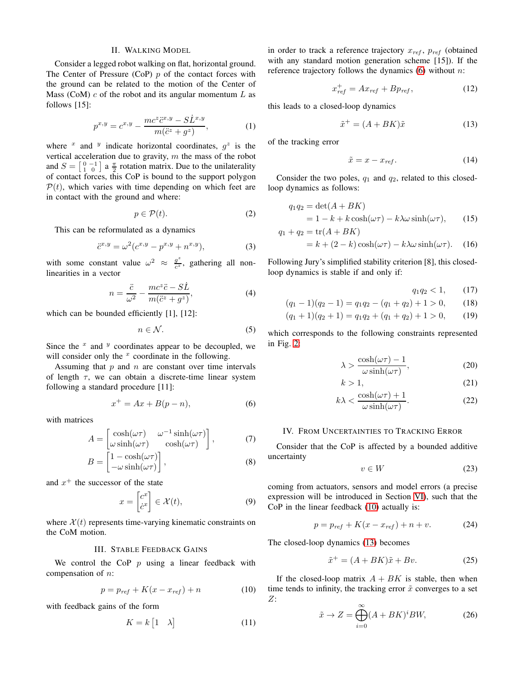## II. WALKING MODEL

<span id="page-1-0"></span>Consider a legged robot walking on flat, horizontal ground. The Center of Pressure (CoP)  $p$  of the contact forces with the ground can be related to the motion of the Center of Mass (CoM)  $c$  of the robot and its angular momentum  $L$  as follows [15]:

$$
p^{x,y} = c^{x,y} - \frac{mc^z \ddot{c}^{x,y} - \dot{S} \dot{L}^{x,y}}{m(\ddot{c}^z + g^z)},
$$
 (1)

where  $x$  and  $y$  indicate horizontal coordinates,  $g^z$  is the vertical acceleration due to gravity, m the mass of the robot and  $S = \begin{bmatrix} 0 & -1 \\ 1 & 0 \end{bmatrix}$  a  $\frac{\pi}{2}$  rotation matrix. Due to the unilaterality of contact forces, this CoP is bound to the support polygon  $P(t)$ , which varies with time depending on which feet are in contact with the ground and where:

$$
p \in \mathcal{P}(t). \tag{2}
$$

This can be reformulated as a dynamics

$$
\ddot{c}^{x,y} = \omega^2 (c^{x,y} - p^{x,y} + n^{x,y}),\tag{3}
$$

with some constant value  $\omega^2 \approx \frac{g^2}{c^2}$  $\frac{g}{c^2}$ , gathering all nonlinearities in a vector

$$
n = \frac{\ddot{c}}{\omega^2} - \frac{mc^z\ddot{c} - S\dot{L}}{m(\ddot{c}^z + g^z)},
$$
(4)

which can be bounded efficiently [1], [12]:

$$
n \in \mathcal{N}.\tag{5}
$$

Since the  $x$  and  $y$  coordinates appear to be decoupled, we will consider only the  $x$  coordinate in the following.

Assuming that  $p$  and  $n$  are constant over time intervals of length  $\tau$ , we can obtain a discrete-time linear system following a standard procedure [11]:

<span id="page-1-3"></span>
$$
x^+ = Ax + B(p - n),\tag{6}
$$

with matrices

$$
A = \begin{bmatrix} \cosh(\omega \tau) & \omega^{-1} \sinh(\omega \tau) \\ \omega \sinh(\omega \tau) & \cosh(\omega \tau) \end{bmatrix},
$$
 (7)

$$
B = \begin{bmatrix} 1 - \cosh(\omega \tau) \\ -\omega \sinh(\omega \tau) \end{bmatrix},
$$
 (8)

and  $x^+$  the successor of the state

<span id="page-1-8"></span>
$$
x = \begin{bmatrix} c^x \\ \dot{c}^x \end{bmatrix} \in \mathcal{X}(t),\tag{9}
$$

<span id="page-1-1"></span>where  $\mathcal{X}(t)$  represents time-varying kinematic constraints on the CoM motion.

# III. STABLE FEEDBACK GAINS

We control the CoP  $p$  using a linear feedback with compensation of n:

<span id="page-1-4"></span>
$$
p = p_{ref} + K(x - x_{ref}) + n \tag{10}
$$

with feedback gains of the form

$$
K = k \begin{bmatrix} 1 & \lambda \end{bmatrix} \tag{11}
$$

in order to track a reference trajectory  $x_{ref}$ ,  $p_{ref}$  (obtained with any standard motion generation scheme [15]). If the reference trajectory follows the dynamics  $(6)$  without n:

$$
x_{ref}^+ = Ax_{ref} + Bp_{ref}, \tag{12}
$$

this leads to a closed-loop dynamics

<span id="page-1-5"></span>
$$
\tilde{x}^+ = (A + BK)\tilde{x} \tag{13}
$$

of the tracking error

$$
\tilde{x} = x - x_{ref}.\tag{14}
$$

Consider the two poles,  $q_1$  and  $q_2$ , related to this closedloop dynamics as follows:

<span id="page-1-10"></span>
$$
q_1 q_2 = \det(A + BK)
$$
  
= 1 - k + k \cosh(\omega \tau) - k\lambda \omega \sinh(\omega \tau), (15)  

$$
q_1 + q_2 = \text{tr}(A + BK)
$$

$$
= k + (2 - k) \cosh(\omega \tau) - k\lambda \omega \sinh(\omega \tau). \quad (16)
$$

Following Jury's simplified stability criterion [8], this closedloop dynamics is stable if and only if:

<span id="page-1-13"></span><span id="page-1-12"></span><span id="page-1-11"></span>
$$
q_1 q_2 < 1,\qquad(17)
$$

$$
(q_1 - 1)(q_2 - 1) = q_1 q_2 - (q_1 + q_2) + 1 > 0,
$$
 (18)

$$
(q_1 + 1)(q_2 + 1) = q_1 q_2 + (q_1 + q_2) + 1 > 0,
$$
 (19)

which corresponds to the following constraints represented in Fig. [2:](#page-2-1)

$$
\lambda > \frac{\cosh(\omega \tau) - 1}{\omega \sinh(\omega \tau)},
$$
\n(20)

$$
k > 1,\tag{21}
$$

$$
k\lambda < \frac{\cosh(\omega\tau) + 1}{\omega \sinh(\omega\tau)}.\tag{22}
$$

# <span id="page-1-2"></span>IV. FROM UNCERTAINTIES TO TRACKING ERROR

Consider that the CoP is affected by a bounded additive uncertainty

<span id="page-1-9"></span>
$$
v \in W \tag{23}
$$

coming from actuators, sensors and model errors (a precise expression will be introduced in Section [VI\)](#page-3-0), such that the CoP in the linear feedback [\(10\)](#page-1-4) actually is:

<span id="page-1-14"></span>
$$
p = p_{ref} + K(x - x_{ref}) + n + v.
$$
 (24)

The closed-loop dynamics [\(13\)](#page-1-5) becomes

<span id="page-1-6"></span>
$$
\tilde{x}^+ = (A + BK)\tilde{x} + Bv.
$$
 (25)

If the closed-loop matrix  $A + BK$  is stable, then when time tends to infinity, the tracking error  $\tilde{x}$  converges to a set  $Z:$ 

<span id="page-1-7"></span>
$$
\tilde{x} \to Z = \bigoplus_{i=0}^{\infty} (A + BK)^i BW,\tag{26}
$$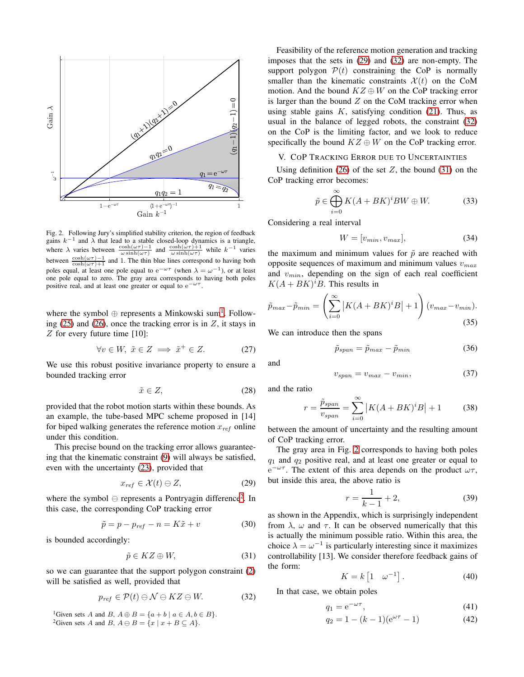

<span id="page-2-1"></span>Fig. 2. Following Jury's simplified stability criterion, the region of feedback gains  $k^{-1}$  and  $\lambda$  that lead to a stable closed-loop dynamics is a triangle, where  $\lambda$  varies between  $\frac{\cosh(\omega \tau) - 1}{\omega \sinh(\omega \tau)}$  and  $\frac{\cosh(\omega \tau) + 1}{\omega \sinh(\omega \tau)}$  while  $k^{-1}$  varies between  $\frac{\cosh(\omega\tau)-1}{\cosh(\omega\tau)+1}$  and 1. The thin blue lines correspond to having both poles equal, at least one pole equal to  $e^{-\omega \tau}$  (when  $\lambda = \omega^{-1}$ ), or at least one pole equal to zero. The gray area corresponds to having both poles positive real, and at least one greater or equal to  $e^{-\omega \tau}$ .

where the symbol  $\oplus$  represents a Minkowski sum<sup>[1](#page-2-2)</sup>. Following  $(25)$  and  $(26)$ , once the tracking error is in  $Z$ , it stays in Z for every future time [10]:

$$
\forall v \in W, \ \tilde{x} \in Z \implies \tilde{x}^+ \in Z. \tag{27}
$$

We use this robust positive invariance property to ensure a bounded tracking error

$$
\tilde{x} \in Z,\tag{28}
$$

provided that the robot motion starts within these bounds. As an example, the tube-based MPC scheme proposed in [14] for biped walking generates the reference motion  $x_{ref}$  online under this condition.

This precise bound on the tracking error allows guaranteeing that the kinematic constraint [\(9\)](#page-1-8) will always be satisfied, even with the uncertainty [\(23\)](#page-1-9), provided that

<span id="page-2-4"></span>
$$
x_{ref} \in \mathcal{X}(t) \ominus Z,\tag{29}
$$

where the symbol  $\ominus$  represents a Pontryagin difference<sup>[2](#page-2-3)</sup>. In this case, the corresponding CoP tracking error

$$
\tilde{p} = p - p_{ref} - n = K\tilde{x} + v \tag{30}
$$

is bounded accordingly:

<span id="page-2-6"></span>
$$
\tilde{p} \in KZ \oplus W,\tag{31}
$$

so we can guarantee that the support polygon constraint [\(2\)](#page-1-10) will be satisfied as well, provided that

<span id="page-2-5"></span>
$$
p_{ref} \in \mathcal{P}(t) \ominus \mathcal{N} \ominus KZ \ominus W. \tag{32}
$$

<span id="page-2-3"></span><span id="page-2-2"></span><sup>1</sup>Given sets A and B,  $A \oplus B = \{a + b \mid a \in A, b \in B\}.$ <sup>2</sup>Given sets A and B,  $A \ominus B = \{x \mid x + B \subseteq A\}.$ 

Feasibility of the reference motion generation and tracking imposes that the sets in [\(29\)](#page-2-4) and [\(32\)](#page-2-5) are non-empty. The support polygon  $P(t)$  constraining the CoP is normally smaller than the kinematic constraints  $\mathcal{X}(t)$  on the CoM motion. And the bound  $KZ \oplus W$  on the CoP tracking error is larger than the bound  $Z$  on the CoM tracking error when using stable gains  $K$ , satisfying condition [\(21\)](#page-1-11). Thus, as usual in the balance of legged robots, the constraint [\(32\)](#page-2-5) on the CoP is the limiting factor, and we look to reduce specifically the bound  $KZ \oplus W$  on the CoP tracking error.

# <span id="page-2-0"></span>V. COP TRACKING ERROR DUE TO UNCERTAINTIES

Using definition  $(26)$  of the set Z, the bound  $(31)$  on the CoP tracking error becomes:

$$
\tilde{p} \in \bigoplus_{i=0}^{\infty} K(A + BK)^i BW \oplus W.
$$
 (33)

Considering a real interval

$$
W = [v_{min}, v_{max}], \t\t(34)
$$

the maximum and minimum values for  $\tilde{p}$  are reached with opposite sequences of maximum and minimum values  $v_{max}$ and  $v_{min}$ , depending on the sign of each real coefficient  $K(A+BK)^{i}B$ . This results in

$$
\tilde{p}_{max} - \tilde{p}_{min} = \left(\sum_{i=0}^{\infty} |K(A + BK)^{i}B| + 1\right)(v_{max} - v_{min}).
$$
\n(35)

We can introduce then the spans

$$
\tilde{p}_{span} = \tilde{p}_{max} - \tilde{p}_{min} \tag{36}
$$

and

$$
v_{span} = v_{max} - v_{min}, \tag{37}
$$

and the ratio

<span id="page-2-7"></span>
$$
r = \frac{\tilde{p}_{span}}{v_{span}} = \sum_{i=0}^{\infty} |K(A + BK)^i B| + 1
$$
 (38)

between the amount of uncertainty and the resulting amount of CoP tracking error.

The gray area in Fig. [2](#page-2-1) corresponds to having both poles  $q_1$  and  $q_2$  positive real, and at least one greater or equal to  $e^{-\omega\tau}$ . The extent of this area depends on the product  $\omega\tau$ , but inside this area, the above ratio is

$$
r = \frac{1}{k - 1} + 2,\tag{39}
$$

as shown in the Appendix, which is surprisingly independent from  $\lambda$ ,  $\omega$  and  $\tau$ . It can be observed numerically that this is actually the minimum possible ratio. Within this area, the choice  $\lambda = \omega^{-1}$  is particularly interesting since it maximizes controllability [13]. We consider therefore feedback gains of the form:

<span id="page-2-8"></span>
$$
K = k \begin{bmatrix} 1 & \omega^{-1} \end{bmatrix} . \tag{40}
$$

In that case, we obtain poles

$$
q_1 = e^{-\omega \tau}, \tag{41}
$$

$$
q_2 = 1 - (k - 1)(e^{\omega \tau} - 1) \tag{42}
$$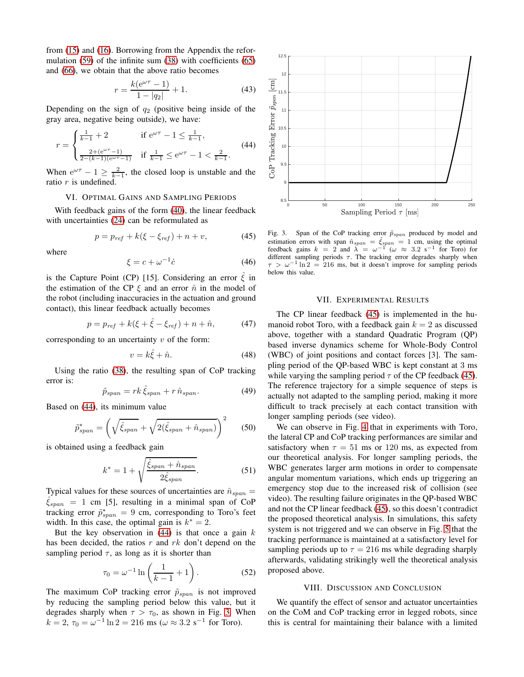from [\(15\)](#page-1-12) and [\(16\)](#page-1-13). Borrowing from the Appendix the reformulation [\(59\)](#page-5-0) of the infinite sum [\(38\)](#page-2-7) with coefficients [\(65\)](#page-5-1) and [\(66\)](#page-5-2), we obtain that the above ratio becomes

$$
r = \frac{k(e^{\omega \tau} - 1)}{1 - |q_2|} + 1.
$$
 (43)

Depending on the sign of  $q_2$  (positive being inside of the gray area, negative being outside), we have:

<span id="page-3-3"></span>
$$
r = \begin{cases} \frac{1}{k-1} + 2 & \text{if } e^{\omega \tau} - 1 \le \frac{1}{k-1}, \\ \frac{2 + (e^{\omega \tau} - 1)}{2 - (k-1)(e^{\omega \tau} - 1)} & \text{if } \frac{1}{k-1} \le e^{\omega \tau} - 1 < \frac{2}{k-1}. \end{cases} \tag{44}
$$

<span id="page-3-0"></span>When  $e^{\omega \tau} - 1 \ge \frac{2}{k-1}$ , the closed loop is unstable and the ratio  $r$  is undefined.

# VI. OPTIMAL GAINS AND SAMPLING PERIODS

With feedback gains of the form [\(40\)](#page-2-8), the linear feedback with uncertainties [\(24\)](#page-1-14) can be reformulated as

<span id="page-3-5"></span>
$$
p = p_{ref} + k(\xi - \xi_{ref}) + n + v,
$$
 (45)

where

$$
\xi = c + \omega^{-1} \dot{c} \tag{46}
$$

is the Capture Point (CP) [15]. Considering an error  $\hat{\xi}$  in the estimation of the CP  $\xi$  and an error  $\hat{n}$  in the model of the robot (including inaccuracies in the actuation and ground contact), this linear feedback actually becomes

$$
p = p_{ref} + k(\xi + \hat{\xi} - \xi_{ref}) + n + \hat{n},
$$
 (47)

corresponding to an uncertainty  $v$  of the form:

$$
v = k\hat{\xi} + \hat{n}.\tag{48}
$$

Using the ratio [\(38\)](#page-2-7), the resulting span of CoP tracking error is:

$$
\tilde{p}_{span} = rk \,\hat{\xi}_{span} + r \,\hat{n}_{span}.\tag{49}
$$

Based on [\(44\)](#page-3-3), its minimum value

$$
\tilde{p}_{span}^* = \left(\sqrt{\hat{\xi}_{span}} + \sqrt{2(\hat{\xi}_{span} + \hat{n}_{span})}\right)^2 \tag{50}
$$

is obtained using a feedback gain

$$
k^* = 1 + \sqrt{\frac{\hat{\xi}_{span} + \hat{n}_{span}}{2\hat{\xi}_{span}}}.
$$
 (51)

Typical values for these sources of uncertainties are  $\hat{n}_{span} =$  $\xi_{span}$  = 1 cm [5], resulting in a minimal span of CoP tracking error  $\tilde{p}^*_{span} = 9$  cm, corresponding to Toro's feet width. In this case, the optimal gain is  $k^* = 2$ .

But the key observation in  $(44)$  is that once a gain k has been decided, the ratios r and rk don't depend on the sampling period  $\tau$ , as long as it is shorter than

$$
\tau_0 = \omega^{-1} \ln \left( \frac{1}{k-1} + 1 \right). \tag{52}
$$

The maximum CoP tracking error  $\tilde{p}_{span}$  is not improved by reducing the sampling period below this value, but it degrades sharply when  $\tau > \tau_0$ , as shown in Fig. [3.](#page-3-4) When  $k = 2, \tau_0 = \omega^{-1} \ln 2 = 216 \text{ ms } (\omega \approx 3.2 \text{ s}^{-1} \text{ for Toro}).$ 



<span id="page-3-4"></span>Fig. 3. Span of the CoP tracking error  $\tilde{p}_{span}$  produced by model and estimation errors with span  $\hat{n}_{span} = \hat{\xi}_{span} = 1$  cm, using the optimal feedback gains  $k = 2$  and  $\lambda = \omega^{-1}(\omega \approx 3.2 \text{ s}^{-1} \text{ for } \text{Tor})$  for different sampling periods  $\tau$ . The tracking error degrades sharply when  $\tau > \omega^{-1} \ln 2 = 216$  ms, but it doesn't improve for sampling periods below this value.

#### VII. EXPERIMENTAL RESULTS

<span id="page-3-1"></span>The CP linear feedback [\(45\)](#page-3-5) is implemented in the humanoid robot Toro, with a feedback gain  $k = 2$  as discussed above, together with a standard Quadratic Program (QP) based inverse dynamics scheme for Whole-Body Control (WBC) of joint positions and contact forces [3]. The sampling period of the QP-based WBC is kept constant at 3 ms while varying the sampling period  $\tau$  of the CP feedback [\(45\)](#page-3-5). The reference trajectory for a simple sequence of steps is actually not adapted to the sampling period, making it more difficult to track precisely at each contact transition with longer sampling periods (see video).

We can observe in Fig. [4](#page-4-0) that in experiments with Toro, the lateral CP and CoP tracking performances are similar and satisfactory when  $\tau = 51$  ms or 120 ms, as expected from our theoretical analysis. For longer sampling periods, the WBC generates larger arm motions in order to compensate angular momentum variations, which ends up triggering an emergency stop due to the increased risk of collision (see video). The resulting failure originates in the QP-based WBC and not the CP linear feedback [\(45\)](#page-3-5), so this doesn't contradict the proposed theoretical analysis. In simulations, this safety system is not triggered and we can observe in Fig. [5](#page-4-1) that the tracking performance is maintained at a satisfactory level for sampling periods up to  $\tau = 216$  ms while degrading sharply afterwards, validating strikingly well the theoretical analysis proposed above.

## VIII. DISCUSSION AND CONCLUSION

<span id="page-3-2"></span>We quantify the effect of sensor and actuator uncertainties on the CoM and CoP tracking error in legged robots, since this is central for maintaining their balance with a limited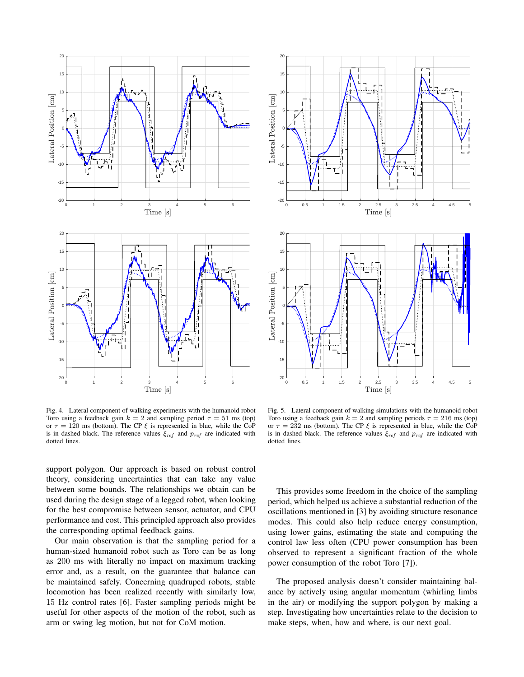

<span id="page-4-0"></span>Fig. 4. Lateral component of walking experiments with the humanoid robot Toro using a feedback gain  $k = 2$  and sampling period  $\tau = 51$  ms (top) or  $\tau = 120$  ms (bottom). The CP  $\xi$  is represented in blue, while the CoP is in dashed black. The reference values  $\xi_{ref}$  and  $p_{ref}$  are indicated with dotted lines.

support polygon. Our approach is based on robust control theory, considering uncertainties that can take any value between some bounds. The relationships we obtain can be used during the design stage of a legged robot, when looking for the best compromise between sensor, actuator, and CPU performance and cost. This principled approach also provides the corresponding optimal feedback gains.

Our main observation is that the sampling period for a human-sized humanoid robot such as Toro can be as long as 200 ms with literally no impact on maximum tracking error and, as a result, on the guarantee that balance can be maintained safely. Concerning quadruped robots, stable locomotion has been realized recently with similarly low, 15 Hz control rates [6]. Faster sampling periods might be useful for other aspects of the motion of the robot, such as arm or swing leg motion, but not for CoM motion.



<span id="page-4-1"></span>Fig. 5. Lateral component of walking simulations with the humanoid robot Toro using a feedback gain  $k = 2$  and sampling periods  $\tau = 216$  ms (top) or  $\tau = 232$  ms (bottom). The CP  $\xi$  is represented in blue, while the CoP is in dashed black. The reference values  $\xi_{ref}$  and  $p_{ref}$  are indicated with dotted lines.

This provides some freedom in the choice of the sampling period, which helped us achieve a substantial reduction of the oscillations mentioned in [3] by avoiding structure resonance modes. This could also help reduce energy consumption, using lower gains, estimating the state and computing the control law less often (CPU power consumption has been observed to represent a significant fraction of the whole power consumption of the robot Toro [7]).

The proposed analysis doesn't consider maintaining balance by actively using angular momentum (whirling limbs in the air) or modifying the support polygon by making a step. Investigating how uncertainties relate to the decision to make steps, when, how and where, is our next goal.